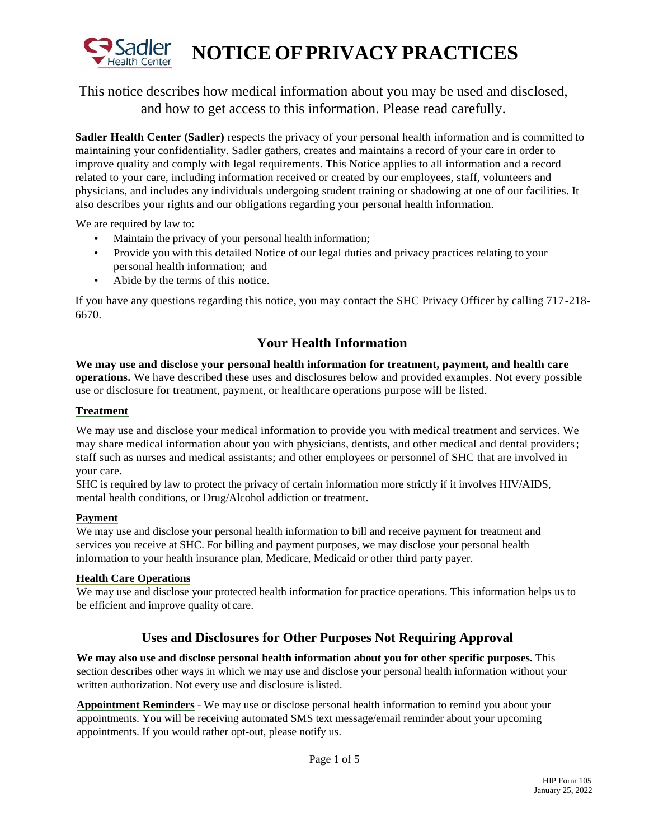

# **NOTICE OFPRIVACY PRACTICES**

## This notice describes how medical information about you may be used and disclosed, and how to get access to this information. Please read carefully.

**Sadler Health Center (Sadler)** respects the privacy of your personal health information and is committed to maintaining your confidentiality. Sadler gathers, creates and maintains a record of your care in order to improve quality and comply with legal requirements. This Notice applies to all information and a record related to your care, including information received or created by our employees, staff, volunteers and physicians, and includes any individuals undergoing student training or shadowing at one of our facilities. It also describes your rights and our obligations regarding your personal health information.

We are required by law to:

- Maintain the privacy of your personal health information;
- Provide you with this detailed Notice of our legal duties and privacy practices relating to your personal health information; and
- Abide by the terms of this notice.

If you have any questions regarding this notice, you may contact the SHC Privacy Officer by calling 717-218- 6670.

## **Your Health Information**

**We may use and disclose your personal health information for treatment, payment, and health care operations.** We have described these uses and disclosures below and provided examples. Not every possible use or disclosure for treatment, payment, or healthcare operations purpose will be listed.

#### **Treatment**

We may use and disclose your medical information to provide you with medical treatment and services. We may share medical information about you with physicians, dentists, and other medical and dental providers; staff such as nurses and medical assistants; and other employees or personnel of SHC that are involved in your care.

SHC is required by law to protect the privacy of certain information more strictly if it involves HIV/AIDS, mental health conditions, or Drug/Alcohol addiction or treatment.

#### **Payment**

We may use and disclose your personal health information to bill and receive payment for treatment and services you receive at SHC. For billing and payment purposes, we may disclose your personal health information to your health insurance plan, Medicare, Medicaid or other third party payer.

#### **Health Care Operations**

We may use and disclose your protected health information for practice operations. This information helps us to be efficient and improve quality of care.

### **Uses and Disclosures for Other Purposes Not Requiring Approval**

**We may also use and disclose personal health information about you for other specific purposes.** This section describes other ways in which we may use and disclose your personal health information without your written authorization. Not every use and disclosure islisted.

**Appointment Reminders** - We may use or disclose personal health information to remind you about your appointments. You will be receiving automated SMS text message/email reminder about your upcoming appointments. If you would rather opt-out, please notify us.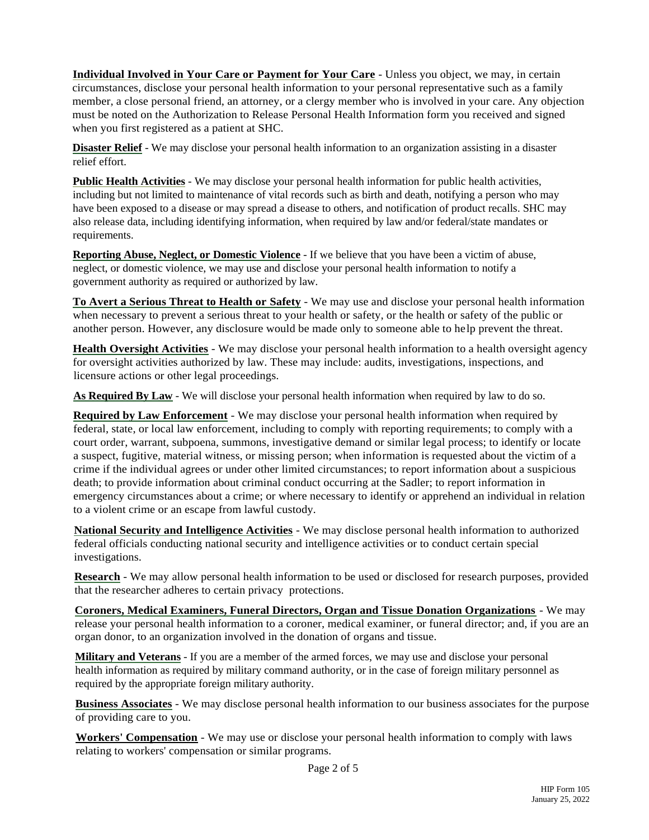**Individual Involved in Your Care or Payment for Your Care** - Unless you object, we may, in certain circumstances, disclose your personal health information to your personal representative such as a family member, a close personal friend, an attorney, or a clergy member who is involved in your care. Any objection must be noted on the Authorization to Release Personal Health Information form you received and signed when you first registered as a patient at SHC.

**Disaster Relief** - We may disclose your personal health information to an organization assisting in a disaster relief effort.

**Public Health Activities** - We may disclose your personal health information for public health activities, including but not limited to maintenance of vital records such as birth and death, notifying a person who may have been exposed to a disease or may spread a disease to others, and notification of product recalls. SHC may also release data, including identifying information, when required by law and/or federal/state mandates or requirements.

**Reporting Abuse, Neglect, or Domestic Violence** - If we believe that you have been a victim of abuse, neglect, or domestic violence, we may use and disclose your personal health information to notify a government authority as required or authorized by law.

**To Avert a Serious Threat to Health or Safety** - We may use and disclose your personal health information when necessary to prevent a serious threat to your health or safety, or the health or safety of the public or another person. However, any disclosure would be made only to someone able to help prevent the threat.

**Health Oversight Activities** - We may disclose your personal health information to a health oversight agency for oversight activities authorized by law. These may include: audits, investigations, inspections, and licensure actions or other legal proceedings.

**As Required By Law** - We will disclose your personal health information when required by law to do so.

**Required by Law Enforcement** - We may disclose your personal health information when required by federal, state, or local law enforcement, including to comply with reporting requirements; to comply with a court order, warrant, subpoena, summons, investigative demand or similar legal process; to identify or locate a suspect, fugitive, material witness, or missing person; when information is requested about the victim of a crime if the individual agrees or under other limited circumstances; to report information about a suspicious death; to provide information about criminal conduct occurring at the Sadler; to report information in emergency circumstances about a crime; or where necessary to identify or apprehend an individual in relation to a violent crime or an escape from lawful custody.

**National Security and Intelligence Activities** - We may disclose personal health information to authorized federal officials conducting national security and intelligence activities or to conduct certain special investigations.

**Research** - We may allow personal health information to be used or disclosed for research purposes, provided that the researcher adheres to certain privacy protections.

**Coroners, Medical Examiners, Funeral Directors, Organ and Tissue Donation Organizations** - We may release your personal health information to a coroner, medical examiner, or funeral director; and, if you are an organ donor, to an organization involved in the donation of organs and tissue.

**Military and Veterans** - If you are a member of the armed forces, we may use and disclose your personal health information as required by military command authority, or in the case of foreign military personnel as required by the appropriate foreign military authority.

**Business Associates** - We may disclose personal health information to our business associates for the purpose of providing care to you.

**Workers' Compensation** - We may use or disclose your personal health information to comply with laws relating to workers' compensation or similar programs.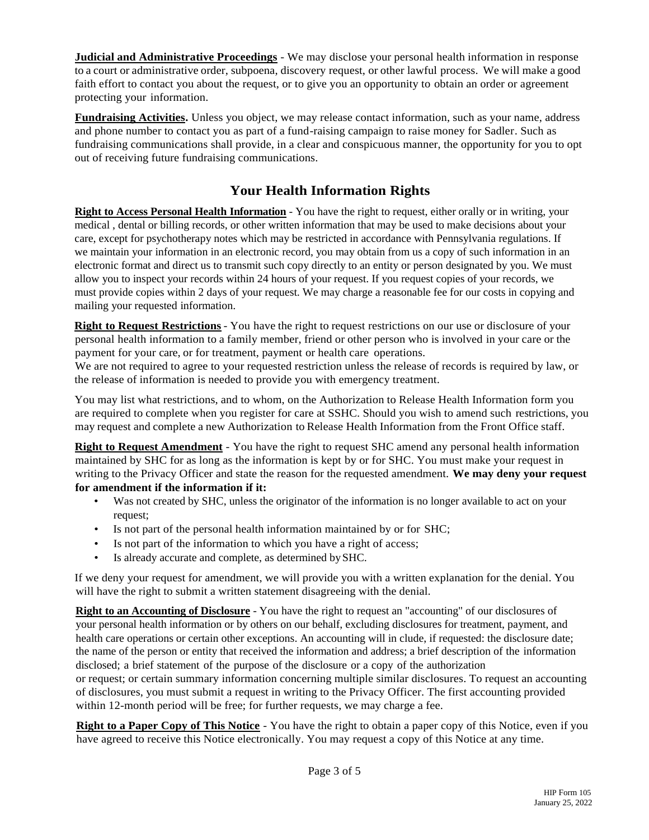**Judicial and Administrative Proceedings** - We may disclose your personal health information in response to a court or administrative order, subpoena, discovery request, or other lawful process. We will make a good faith effort to contact you about the request, or to give you an opportunity to obtain an order or agreement protecting your information.

**Fundraising Activities.** Unless you object, we may release contact information, such as your name, address and phone number to contact you as part of a fund-raising campaign to raise money for Sadler. Such as fundraising communications shall provide, in a clear and conspicuous manner, the opportunity for you to opt out of receiving future fundraising communications.

# **Your Health Information Rights**

**Right to Access Personal Health Information** - You have the right to request, either orally or in writing, your medical , dental or billing records, or other written information that may be used to make decisions about your care, except for psychotherapy notes which may be restricted in accordance with Pennsylvania regulations. If we maintain your information in an electronic record, you may obtain from us a copy of such information in an electronic format and direct us to transmit such copy directly to an entity or person designated by you. We must allow you to inspect your records within 24 hours of your request. If you request copies of your records, we must provide copies within 2 days of your request. We may charge a reasonable fee for our costs in copying and mailing your requested information.

**Right to Request Restrictions** - You have the right to request restrictions on our use or disclosure of your personal health information to a family member, friend or other person who is involved in your care or the payment for your care, or for treatment, payment or health care operations.

We are not required to agree to your requested restriction unless the release of records is required by law, or the release of information is needed to provide you with emergency treatment.

You may list what restrictions, and to whom, on the Authorization to Release Health Information form you are required to complete when you register for care at SSHC. Should you wish to amend such restrictions, you may request and complete a new Authorization to Release Health Information from the Front Office staff.

**Right to Request Amendment** - You have the right to request SHC amend any personal health information maintained by SHC for as long as the information is kept by or for SHC. You must make your request in writing to the Privacy Officer and state the reason for the requested amendment. **We may deny your request for amendment if the information if it:**

- Was not created by SHC, unless the originator of the information is no longer available to act on your request;
- Is not part of the personal health information maintained by or for SHC;
- Is not part of the information to which you have a right of access;
- Is already accurate and complete, as determined by SHC.

If we deny your request for amendment, we will provide you with a written explanation for the denial. You will have the right to submit a written statement disagreeing with the denial.

**Right to an Accounting of Disclosure** - You have the right to request an "accounting" of our disclosures of your personal health information or by others on our behalf, excluding disclosures for treatment, payment, and health care operations or certain other exceptions. An accounting will in clude, if requested: the disclosure date; the name of the person or entity that received the information and address; a brief description of the information disclosed; a brief statement of the purpose of the disclosure or a copy of the authorization or request; or certain summary information concerning multiple similar disclosures. To request an accounting of disclosures, you must submit a request in writing to the Privacy Officer. The first accounting provided within 12-month period will be free; for further requests, we may charge a fee.

**Right to a Paper Copy of This Notice** - You have the right to obtain a paper copy of this Notice, even if you have agreed to receive this Notice electronically. You may request a copy of this Notice at any time.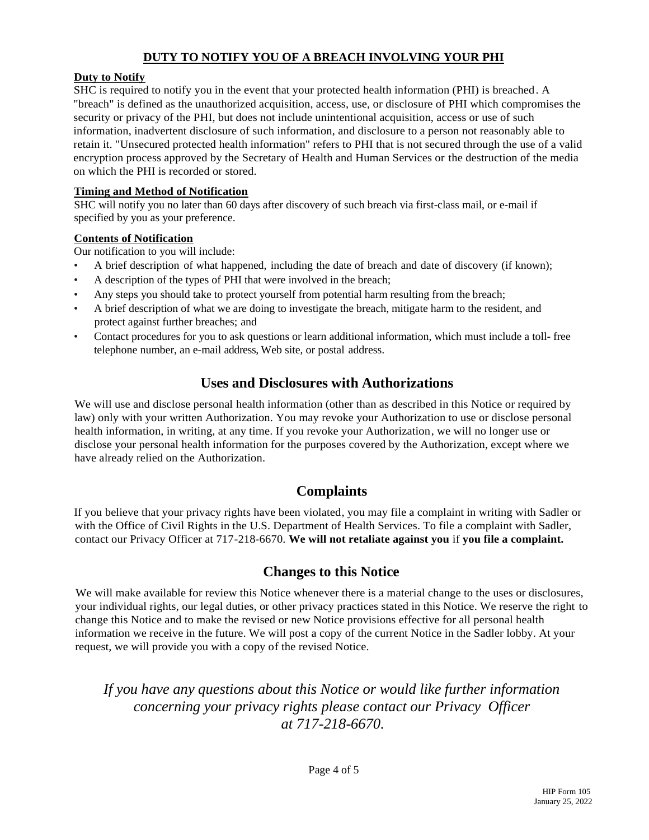## **DUTY TO NOTIFY YOU OF A BREACH INVOLVING YOUR PHI**

#### **Duty to Notify**

SHC is required to notify you in the event that your protected health information (PHI) is breached. A "breach" is defined as the unauthorized acquisition, access, use, or disclosure of PHI which compromises the security or privacy of the PHI, but does not include unintentional acquisition, access or use of such information, inadvertent disclosure of such information, and disclosure to a person not reasonably able to retain it. "Unsecured protected health information" refers to PHI that is not secured through the use of a valid encryption process approved by the Secretary of Health and Human Services or the destruction of the media on which the PHI is recorded or stored.

#### **Timing and Method of Notification**

SHC will notify you no later than 60 days after discovery of such breach via first-class mail, or e-mail if specified by you as your preference.

#### **Contents of Notification**

Our notification to you will include:

- A brief description of what happened, including the date of breach and date of discovery (if known);
- A description of the types of PHI that were involved in the breach;
- Any steps you should take to protect yourself from potential harm resulting from the breach;
- A brief description of what we are doing to investigate the breach, mitigate harm to the resident, and protect against further breaches; and
- Contact procedures for you to ask questions or learn additional information, which must include a toll- free telephone number, an e-mail address, Web site, or postal address.

# **Uses and Disclosures with Authorizations**

We will use and disclose personal health information (other than as described in this Notice or required by law) only with your written Authorization. You may revoke your Authorization to use or disclose personal health information, in writing, at any time. If you revoke your Authorization, we will no longer use or disclose your personal health information for the purposes covered by the Authorization, except where we have already relied on the Authorization.

## **Complaints**

If you believe that your privacy rights have been violated, you may file a complaint in writing with Sadler or with the Office of Civil Rights in the U.S. Department of Health Services. To file a complaint with Sadler, contact our Privacy Officer at 717-218-6670. **We will not retaliate against you** if **you file a complaint.**

## **Changes to this Notice**

We will make available for review this Notice whenever there is a material change to the uses or disclosures, your individual rights, our legal duties, or other privacy practices stated in this Notice. We reserve the right to change this Notice and to make the revised or new Notice provisions effective for all personal health information we receive in the future. We will post a copy of the current Notice in the Sadler lobby. At your request, we will provide you with a copy of the revised Notice.

*If you have any questions about this Notice or would like further information concerning your privacy rights please contact our Privacy Officer at 717-218-6670.*